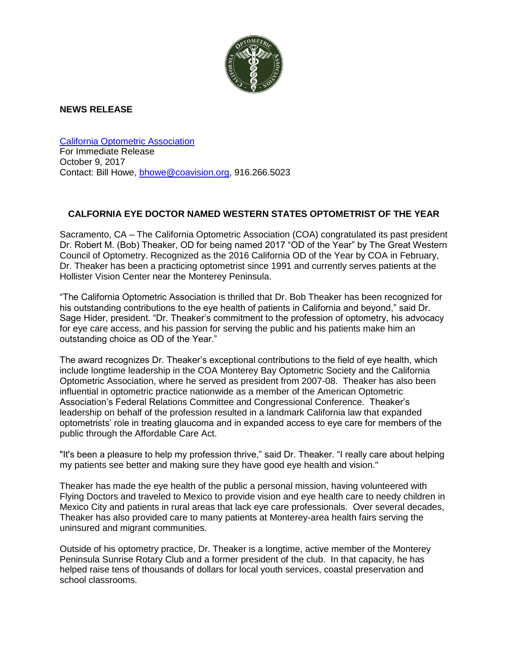

## **NEWS RELEASE**

[California Optometric Association](https://www.coavision.org/i4a/pages/index.cfm?pageid=1) For Immediate Release October 9, 2017 Contact: Bill Howe, [bhowe@coavision.org,](mailto:bhowe@coavision.org) 916.266.5023

## **CALFORNIA EYE DOCTOR NAMED WESTERN STATES OPTOMETRIST OF THE YEAR**

Sacramento, CA – The California Optometric Association (COA) congratulated its past president Dr. Robert M. (Bob) Theaker, OD for being named 2017 "OD of the Year" by The Great Western Council of Optometry. Recognized as the 2016 California OD of the Year by COA in February, Dr. Theaker has been a practicing optometrist since 1991 and currently serves patients at the Hollister Vision Center near the Monterey Peninsula.

"The California Optometric Association is thrilled that Dr. Bob Theaker has been recognized for his outstanding contributions to the eye health of patients in California and beyond," said Dr. Sage Hider, president. "Dr. Theaker's commitment to the profession of optometry, his advocacy for eye care access, and his passion for serving the public and his patients make him an outstanding choice as OD of the Year."

The award recognizes Dr. Theaker's exceptional contributions to the field of eye health, which include longtime leadership in the COA Monterey Bay Optometric Society and the California Optometric Association, where he served as president from 2007-08. Theaker has also been influential in optometric practice nationwide as a member of the American Optometric Association's Federal Relations Committee and Congressional Conference. Theaker's leadership on behalf of the profession resulted in a landmark California law that expanded optometrists' role in treating glaucoma and in expanded access to eye care for members of the public through the Affordable Care Act.

"It's been a pleasure to help my profession thrive," said Dr. Theaker. "I really care about helping my patients see better and making sure they have good eye health and vision."

Theaker has made the eye health of the public a personal mission, having volunteered with Flying Doctors and traveled to Mexico to provide vision and eye health care to needy children in Mexico City and patients in rural areas that lack eye care professionals. Over several decades, Theaker has also provided care to many patients at Monterey-area health fairs serving the uninsured and migrant communities.

Outside of his optometry practice, Dr. Theaker is a longtime, active member of the Monterey Peninsula Sunrise Rotary Club and a former president of the club. In that capacity, he has helped raise tens of thousands of dollars for local youth services, coastal preservation and school classrooms.